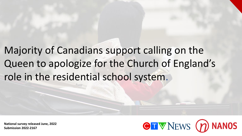Majority of Canadians support calling on the Queen to apologize for the Church of England's role in the residential school system.

**National survey released June, 2022 Submission 2022-2167**

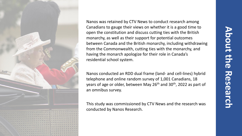

Nanos was retained by CTV News to conduct research among Canadians to gauge their views on whether it is a good time to open the constitution and discuss cutting ties with the British monarchy, as well as their support for potential outcomes between Canada and the British monarchy, including withdrawing from the Commonwealth, cutting ties with the monarchy, and having the monarch apologize for their role in Canada's residential school system.

Nanos conducted an RDD dual frame (land- and cell-lines) hybrid telephone and online random survey of 1,001 Canadians, 18 years of age or older, between May 26<sup>th</sup> and 30<sup>th</sup>, 2022 as part of an omnibus survey.

This study was commissioned by CTV News and the research was conducted by Nanos Research.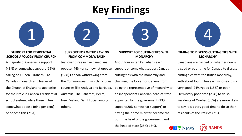# **Key Findings**



#### **SUPPORT FOR RESIDENTIAL SCHOOL APOLOGY FROM CHURCH**

A majority of Canadians support (43%) or somewhat support (19%) calling on Queen Elizabeth II as Canada's monarch and leader of the Church of England to apologize for their role in Canada's residential school system, while three in ten somewhat oppose (nine per cent) or oppose this (21%).

### **SUPPORT FOR WITHDRAWING FROM COMMONWEALTH**

Just over three in five Canadians oppose (44%) or somewhat oppose (17%) Canada withdrawing from the Commonwealth which includes countries like Antigua and Barbuda, Australia, The Bahamas, Belize, New Zealand, Saint Lucia, among others.

### **SUPPORT FOR CUTTING TIES WITH MONARCHY**

About four in ten Canadians each support or somewhat support Canada cutting ties with the monarchy and changing the Governor General from being the representative of monarchy to an independent Canadian head of state appointed by the government (23% support/20% somewhat support) or having the prime minister become the both the head of the government and

the head of state (28%; 15%).



#### **TIMING TO DISCUSS CUTTING TIES WITH MONARCHY**

Canadians are divided on whether now is a good or poor time for Canada to discuss cutting ties with the British monarchy, with about four in ten each who say it is a very good (24%)/good (15%) or poor (18%)/very poor time (23%) to do so. Residents of Quebec (35%) are more likely to say it is a very good time to do so than residents of the Prairies (21%).

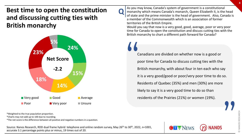## **Best time to open the constitution and discussing cutting ties with British monarchy**



 $\mathbf{Q}$ 

As you may know, Canada's system of government is a constitutional monarchy which means Canada's monarch, Queen Elizabeth II, is the head of state and the prime minister is the head of government. Also, Canada is a member of the Commonwealth which is an association of former territories of the British Empire.

Would you say that now is a very good, good, average, poor or very poor time for Canada to open the constitution and discuss cutting ties with the British monarchy to chart a different path forward for Canada?

Canadians are divided on whether now is a good or poor time for Canada to discuss cutting ties with the British monarchy, with about four in ten each who say it is a very good/good or poor/very poor time to do so. Residents of Quebec (35%) and men (30%) are more likely to say it is a very good time to do so than residents of the Prairies (21%) or women (19%). " **"** 

\*Weighted to the true population proportion.

\*Charts may not add up to 100 due to rounding.

\*The net score is the difference between all positive and negative numbers in a question.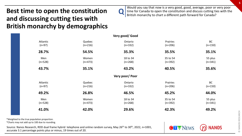## **Best time to open the constitution and discussing cutting ties with British monarchy by demographics**

**Q** 

Would you say that now is a very good, good, average, poor or very poor time for Canada to open the constitution and discuss cutting ties with the British monarchy to chart a different path forward for Canada?

**OTV NEWS** 

|                      |                     | Very good/Good        |                       |                        |
|----------------------|---------------------|-----------------------|-----------------------|------------------------|
| Atlantic<br>$(n=97)$ | Quebec<br>$(n=216)$ | Ontario<br>$(n=332)$  | Prairies<br>$(n=206)$ | BC<br>$(n=150)$        |
| 28.7%                | 54.5%               | 35.3%                 | 35.5%                 | 35.1%                  |
| Men<br>$(n=528)$     | Women<br>$(n=473)$  | 18 to 34<br>$(n=268)$ | 35 to 54<br>$(n=392)$ | 55 plus<br>$(n=341)$   |
| 43.7%                | 35.1%               | 43.2%                 | 40.5%                 | 35.6%                  |
|                      |                     | Very poor/ Poor       |                       |                        |
| Atlantic<br>$(n=97)$ | Quebec<br>$(n=216)$ | Ontario<br>$(n=332)$  | Prairies<br>$(n=206)$ | <b>BC</b><br>$(n=150)$ |
| 49.2%                | 26.8%               | 46.5%                 | 45.2%                 | 44.0%                  |
| Men<br>$(n=528)$     | Women<br>$(n=473)$  | 18 to 34<br>$(n=268)$ | 35 to 54<br>$(n=392)$ | 55 plus<br>$(n=341)$   |
| 41.0%                | 42.0%               | 29.6%                 | 42.3%                 | 49.2%                  |

\*Weighted to the true population proportion.

\*Charts may not add up to 100 due to rounding.

Source: Nanos Research, RDD dual frame hybrid telephone and online random survey, May 26<sup>th</sup> to 30<sup>th</sup>, 2022, n=1001, accurate 3.1 percentage points plus or minus, 19 times out of 20.

**© NANOS RESEARCH**

NANOS RESEARCH

 $\odot$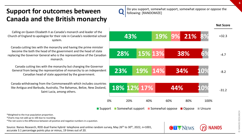## **Support for outcomes between Canada and the British monarchy**

Calling on Queen Elizabeth II as Canada's monarch and leader of the Church of England to apologize for their role in Canada's residential school system.

Canada cutting ties with the monarchy and having the prime minister become the both the head of the government and the head of state replacing the Governor General who is the representative of the Canadian monarch.

Canada cutting ties with the monarchy but changing the Governor General from being the representative of monarchy to an independent Canadian head of state appointed by the government.

Canada withdrawing from the Commonwealth which includes countries like Antigua and Barbuda, Australia, The Bahamas, Belize, New Zealand, Saint Lucia, among others.

Do you support, somewhat support, somewhat oppose or oppose the following: [RANDOMIZE]

 $\mathbf{Q}$ 

**Net Score**

**18% 23% 28% 43% 12% 19% 15% 19% 17% 14% 13% 9% 44% 34% 38% 21% 10% 10% 6% 8%** 0% 20% 40% 60% 80% 100% Support Somewhat support Somewhat oppose Oppose Unsure +32.3 -4.7 -8.2 -31.2

\*Weighted to the true population proportion.

\*Charts may not add up to 100 due to rounding.

\*The net score is the difference between all positive and negative numbers in a question.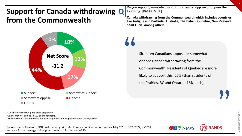## **Support for Canada withdrawing Q from the Commonwealth**



Do you support, somewhat support, somewhat oppose or oppose the following: [RANDOMIZE]

**Canada withdrawing from the Commonwealth which includes countries like Antigua and Barbuda, Australia, The Bahamas, Belize, New Zealand, Saint Lucia, among others.**

> Six in ten Canadians oppose or somewhat oppose Canada withdrawing from the Commonwealth. Residents of Quebec are more likely to support this (27%) than residents of the Prairies, BC and Ontario (16% each).

"

\*Weighted to the true population proportion.

\*Charts may not add up to 100 due to rounding.

\*The net score is the difference between all positive and negative numbers in a question.

Source: Nanos Research, RDD dual frame hybrid telephone and online random survey, May 26<sup>th</sup> to 30<sup>th</sup>, 2022, n=1001, accurate 3.1 percentage points plus or minus, 19 times out of 20.

**"**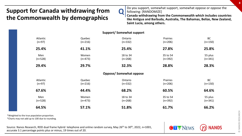## **Support for Canada withdrawing from the Commonwealth by demographics**

Do you support, somewhat support, somewhat oppose or oppose the following: [RANDOMIZE]

**Canada withdrawing from the Commonwealth which includes countries like Antigua and Barbuda, Australia, The Bahamas, Belize, New Zealand, Saint Lucia, among others.**

**OTV NEWS** 

|           |           | Supporty Somewhat Support     |           |           |
|-----------|-----------|-------------------------------|-----------|-----------|
| Atlantic  | Quebec    | Ontario                       | Prairies  | <b>BC</b> |
| $(n=97)$  | $(n=216)$ | $(n=332)$                     | $(n=206)$ | $(n=150)$ |
| 25.4%     | 41.1%     | 25.4%                         | 27.8%     | 25.8%     |
| Men       | Women     | 18 to 34                      | 35 to 54  | 55 plus   |
| $(n=528)$ | $(n=473)$ | $(n=268)$                     | $(n=392)$ | $(n=341)$ |
| 29.4%     | 29.7%     | 32.3%                         | 28.8%     | 28.3%     |
|           |           | <b>Oppose/Somewhat oppose</b> |           |           |
| Atlantic  | Quebec    | Ontario                       | Prairies  | <b>BC</b> |
| $(n=97)$  | $(n=216)$ | $(n=332)$                     | $(n=206)$ | $(n=150)$ |
| 67.6%     | 44.4%     | 68.2%                         | 60.5%     | 64.6%     |
| Men       | Women     | 18 to 34                      | 35 to 54  | 55 plus   |
| $(n=528)$ | $(n=473)$ | $(n=268)$                     | $(n=392)$ | $(n=341)$ |
| 64.5%     | 57.1%     | 51.8%                         | 61.7%     | 66.2%     |

**Q** 

**Support/ Somewhat support**

\*Weighted to the true population proportion.

\*Charts may not add up to 100 due to rounding.

Source: Nanos Research, RDD dual frame hybrid telephone and online random survey, May 26<sup>th</sup> to 30<sup>th</sup>, 2022, n=1001, accurate 3.1 percentage points plus or minus, 19 times out of 20.

**8**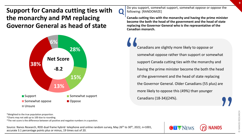**Support for Canada cutting ties with the monarchy and PM replacing Governor General as head of state**



**Q** 

Do you support, somewhat support, somewhat oppose or oppose the following: [RANDOMIZE]

**Canada cutting ties with the monarchy and having the prime minister become the both the head of the government and the head of state replacing the Governor General who is the representative of the Canadian monarch.**

Canadians are slightly more likely to oppose or somewhat oppose rather than support or somewhat support Canada cutting ties with the monarchy and having the prime minister become the both the head of the government and the head of state replacing the Governor General. Older Canadians (55 plus) are more likely to oppose this (49%) than younger Canadians (18-34)(24%). " **"** 

NANOS RESEARCH **© NANOS RESEARCH**

\*Weighted to the true population proportion.

\*Charts may not add up to 100 due to rounding.

\*The net score is the difference between all positive and negative numbers in a question.



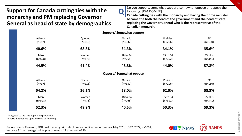### **Support for Canada cutting ties with the monarchy and PM replacing Governor General as head of state by demographics**

Do you support, somewhat support, somewhat oppose or oppose the following: [RANDOMIZE]

**Canada cutting ties with the monarchy and having the prime minister become the both the head of the government and the head of state replacing the Governor General who is the representative of the Canadian monarch.**

|                      |                     | <b>Support/Somewhat support</b> |                       |                        |
|----------------------|---------------------|---------------------------------|-----------------------|------------------------|
| Atlantic<br>$(n=97)$ | Quebec<br>$(n=216)$ | Ontario<br>$(n=332)$            | Prairies<br>$(n=206)$ | <b>BC</b><br>$(n=150)$ |
| 40.6%                | 68.8%               | 34.3%                           | 34.1%                 | 35.6%                  |
| Men<br>$(n=528)$     | Women<br>$(n=473)$  | 18 to 34<br>$(n=268)$           | 35 to 54<br>$(n=392)$ | 55 plus<br>$(n=341)$   |
| 44.5%                | 41.4%               | 48.8%                           | 44.0%                 | 37.8%                  |
|                      |                     | <b>Oppose/Somewhat oppose</b>   |                       |                        |
| Atlantic<br>$(n=97)$ | Quebec<br>$(n=216)$ | Ontario<br>$(n=332)$            | Prairies<br>$(n=206)$ | BC<br>$(n=150)$        |
| 54.2%                | 26.2%               | 58.0%                           | 62.0%                 | 58.3%                  |
| Men<br>$(n=528)$     | Women<br>$(n=473)$  | 18 to 34<br>$(n=268)$           | 35 to 54<br>$(n=392)$ | 55 plus<br>$(n=341)$   |
| 52.3%                | 49.9%               | 40.5%                           | 50.3%                 | 59.3%                  |

**Q** 

\*Weighted to the true population proportion.

\*Charts may not add up to 100 due to rounding.

Source: Nanos Research, RDD dual frame hybrid telephone and online random survey, May 26<sup>th</sup> to 30<sup>th</sup>, 2022, n=1001, accurate 3.1 percentage points plus or minus, 19 times out of 20.

**© NANOS RESEARCH**

NANOS RESEARCH

 $\odot$ 

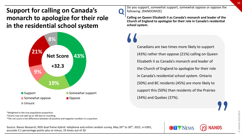## **Support for calling on Canada's monarch to apologize for their role in the residential school system**



 $\mathbf{Q}$ Do you support, somewhat support, somewhat oppose or oppose the following: [RANDOMIZE]

**Calling on Queen Elizabeth II as Canada's monarch and leader of the Church of England to apologize for their role in Canada's residential school system.**

Canadians are two times more likely to support (43%) rather than oppose (21%) calling on Queen Elizabeth II as Canada's monarch and leader of the Church of England to apologize for their role in Canada's residential school system. Ontario (50%) and BC residents (45%) are more likely to support this (50%) than residents of the Prairies (34%) and Quebec (37%).  $\frac{1}{2}$ 

\*Weighted to the true population proportion.

\*Charts may not add up to 100 due to rounding.

\*The net score is the difference between all positive and negative numbers in a question.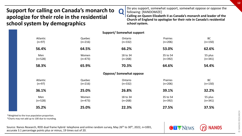### **Support for calling on Canada's monarch to apologize for their role in the residential school system by demographics**

Do you support, somewhat support, somewhat oppose or oppose the following: [RANDOMIZE]

**Calling on Queen Elizabeth II as Canada's monarch and leader of the Church of England to apologize for their role in Canada's residential school system.**

|                      |                     | <b>Support/Somewhat support</b> |                       |                      |
|----------------------|---------------------|---------------------------------|-----------------------|----------------------|
| Atlantic<br>$(n=97)$ | Quebec<br>$(n=216)$ | Ontario<br>$(n=332)$            | Prairies<br>$(n=206)$ | BC<br>$(n=150)$      |
| 56.4%                | 64.5%               | 66.2%                           | 53.0%                 | 62.6%                |
| Men<br>$(n=528)$     | Women<br>$(n=473)$  | 18 to 34<br>$(n=268)$           | 35 to 54<br>$(n=392)$ | 55 plus<br>$(n=341)$ |
| 58.3%                | 65.9%               | 70.3%                           | 64.6%                 | 54.4%                |
|                      |                     | <b>Oppose/Somewhat oppose</b>   |                       |                      |
| Atlantic<br>$(n=97)$ | Quebec<br>$(n=216)$ | Ontario<br>$(n=332)$            | Prairies<br>$(n=206)$ | BC<br>$(n=150)$      |
| 36.1%                | 25.0%               | 26.8%                           | 39.1%                 | 32.2%                |
| Men<br>$(n=528)$     | Women<br>$(n=473)$  | 18 to 34<br>$(n=268)$           | 35 to 54<br>$(n=392)$ | 55 plus<br>$(n=341)$ |
| 35.2%                | 25.0%               | 22.3%                           | 27.5%                 | 37.5%                |

**Q** 

\*Weighted to the true population proportion.

\*Charts may not add up to 100 due to rounding.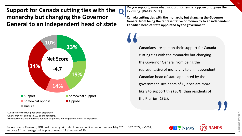**Support for Canada cutting ties with the**  $Q$ **monarchy but changing the Governor General to an independent head of state**



Do you support, somewhat support, somewhat oppose or oppose the following: [RANDOMIZE]

**Canada cutting ties with the monarchy but changing the Governor General from being the representative of monarchy to an independent Canadian head of state appointed by the government.**

Canadians are split on their support for Canada cutting ties with the monarchy but changing the Governor General from being the representative of monarchy to an independent Canadian head of state appointed by the government. Residents of Quebec are more likely to support this (36%) than residents of the Prairies (13%). "

\*Weighted to the true population proportion.

\*Charts may not add up to 100 due to rounding.

\*The net score is the difference between all positive and negative numbers in a question.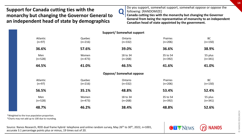### **Support for Canada cutting ties with the monarchy but changing the Governor General to an independent head of state by demographics**

Do you support, somewhat support, somewhat oppose or oppose the following: [RANDOMIZE]

**Canada cutting ties with the monarchy but changing the Governor General from being the representative of monarchy to an independent Canadian head of state appointed by the government.**

**OTV NEWS** 

|                      |                     | <b>Support/Somewhat support</b> |                       |                      |
|----------------------|---------------------|---------------------------------|-----------------------|----------------------|
| Atlantic<br>$(n=97)$ | Quebec<br>$(n=216)$ | Ontario<br>$(n=332)$            | Prairies<br>$(n=206)$ | BC<br>$(n=150)$      |
| 36.6%                | 57.6%               | 39.0%                           | 36.6%                 | 38.9%                |
| Men<br>$(n=528)$     | Women<br>$(n=473)$  | 18 to 34<br>$(n=268)$           | 35 to 54<br>$(n=392)$ | 55 plus<br>$(n=341)$ |
| 44.5%                | 41.0%               | 46.5%                           | 41.6%                 | 41.0%                |
|                      |                     | <b>Oppose/Somewhat oppose</b>   |                       |                      |
| Atlantic<br>$(n=97)$ | Quebec<br>$(n=216)$ | Ontario<br>$(n=332)$            | Prairies<br>$(n=206)$ | BC<br>$(n=150)$      |
| 56.5%                | 35.1%               | 48.8%                           | 53.4%                 | 52.4%                |
| Men<br>$(n=528)$     | Women<br>$(n=473)$  | 18 to 34<br>$(n=268)$           | 35 to 54<br>$(n=392)$ | 55 plus<br>$(n=341)$ |
| 48.7%                | 46.2%               | 38.4%                           | 48.8%                 | 52.6%                |

**Q** 

\*Weighted to the true population proportion.

\*Charts may not add up to 100 due to rounding.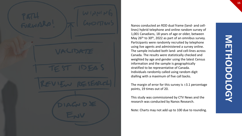Nanos conducted an RDD dual frame (land- and celllines) hybrid telephone and online random survey of 1,001 Canadians, 18 years of age or older, between May 26<sup>th</sup> to 30<sup>th</sup>, 2022 as part of an omnibus survey. Participants were randomly recruited by telephone using live agents and administered a survey online. The sample included both land- and cell-lines across Canada. The results were statistically checked and weighted by age and gender using the latest Census information and the sample is geographically stratified to be representative of Canada. Individuals randomly called using random digit dialling with a maximum of five call backs.

The margin of error for this survey is  $\pm 3.1$  percentage points, 19 times out of 20.

This study was commissioned by CTV News and the research was conducted by Nanos Research.

Note: Charts may not add up to 100 due to rounding.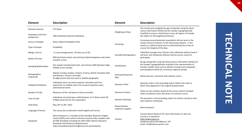| <b>Element</b>                      | <b>Description</b>                                                                                                                                                                                                                                                                                     | <b>Element</b>                    | <b>Description</b>                                                                                                                                                                                                                                          |  |  |  |  |
|-------------------------------------|--------------------------------------------------------------------------------------------------------------------------------------------------------------------------------------------------------------------------------------------------------------------------------------------------------|-----------------------------------|-------------------------------------------------------------------------------------------------------------------------------------------------------------------------------------------------------------------------------------------------------------|--|--|--|--|
| Research sponsor                    | <b>CTV News</b>                                                                                                                                                                                                                                                                                        | Weighting of Data                 | The results were weighted by age and gender using the latest<br>Census information (2016) and the sample is geographically                                                                                                                                  |  |  |  |  |
| Population and Final<br>Sample Size | 1001 Randomly selected individuals.                                                                                                                                                                                                                                                                    |                                   | stratified to ensure a distribution across all regions of Canada.<br>See tables for full weighting disclosure                                                                                                                                               |  |  |  |  |
| Source of Sample                    | Nanos Hybrid Probability Panel                                                                                                                                                                                                                                                                         | Screening                         | Screening ensured potential respondents did not work in the<br>market research industry, in the advertising industry, in the                                                                                                                                |  |  |  |  |
| Type of Sample                      | Probability                                                                                                                                                                                                                                                                                            |                                   | media or a political party prior to administering the survey to<br>ensure the integrity of the data.                                                                                                                                                        |  |  |  |  |
| Margin of Error                     | $\pm$ 3.1 percentage points, 19 times out of 20.                                                                                                                                                                                                                                                       | <b>Excluded Demographics</b>      | Individuals younger than 18 years old; individuals without land or<br>cell lines, and individuals without internet access could not                                                                                                                         |  |  |  |  |
| Mode of Survey                      | RDD dual frame (land- and cell-lines) hybrid telephone and online<br>omnibus survey                                                                                                                                                                                                                    |                                   | participate.                                                                                                                                                                                                                                                |  |  |  |  |
| Sampling Method Base                | The sample included both land- and cell-lines RDD (Random Digit<br>Dialed) across Canada.                                                                                                                                                                                                              | Stratification                    | By age and gender using the latest Census information (2016) and<br>the sample is geographically stratified to be representative of<br>Canada. Smaller areas such as Atlantic Canada were marginally<br>oversampled to allow for a minimum regional sample. |  |  |  |  |
| Demographics<br>(Captured)          | Atlantic Canada, Quebec, Ontario, Prairies, British Columbia; Men<br>and Women; 18 years and older.<br>Six digit postal code was used to validate geography.                                                                                                                                           | <b>Estimated Response</b><br>Rate | Eleven percent, consistent with industry norms.                                                                                                                                                                                                             |  |  |  |  |
| Fieldwork/Validation                | Individuals were recruited using live interviews with live<br>supervision to validate work, the research questions were<br>administered online                                                                                                                                                         | <b>Question Order</b>             | Question order in the preceding report reflects the order in<br>which they appeared in the original questionnaire.                                                                                                                                          |  |  |  |  |
| Number of Calls                     | Maximum of five call backs to those recruited.                                                                                                                                                                                                                                                         | <b>Question Content</b>           | Topics on the omnibus ahead of the survey content included:<br>views on political issues and views on economic issues.                                                                                                                                      |  |  |  |  |
| Time of Calls                       | Individuals recruited were called between 12-5:30 pm and 6:30-<br>9:30pm local time for the respondent.                                                                                                                                                                                                | <b>Question Wording</b>           | The questions in the preceding report are written exactly as they<br>were asked to individuals.                                                                                                                                                             |  |  |  |  |
| <b>Field Dates</b>                  | May 26 <sup>th</sup> to 30 <sup>th</sup> , 2022.                                                                                                                                                                                                                                                       | Research/Data                     | Nanos Research                                                                                                                                                                                                                                              |  |  |  |  |
| Language of Survey                  | The survey was conducted in both English and French.                                                                                                                                                                                                                                                   | <b>Collection Supplier</b>        |                                                                                                                                                                                                                                                             |  |  |  |  |
| Standards                           | Nanos Research is a member of the Canadian Research Insights<br>Council (CRIC) and confirms that this research fully complies with<br>all CRIC Standards including the CRIC Public Opinion Research<br>Standards and Disclosure Requirements.<br>https://canadianresearchinsightscouncil.ca/standards/ | Contact                           | Contact Nanos Research for more information or with any<br>concerns or questions.<br>http://www.nanos.co<br>Telephone: (613) 234-4666 ext. 237<br>Email: info@nanosresearch.com.                                                                            |  |  |  |  |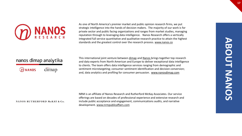

As one of North America's premier market and public opinion research firms, we put strategic intelligence into the hands of decision makers. The majority of our work is for private sector and public facing organizations and ranges from market studies, managing reputation through to leveraging data intelligence. Nanos Research offers a vertically integrated full service quantitative and qualitative research practice to attain the highest standards and the greatest control over the research process. [www.nanos.co](http://www.nanos.co/)

### nanos dimap analytika

dimap  $\mathcal D$  NANOS

This international joint venture between [dimap](http://dimap.de/en/HOMEen) and [Nanos](http://nanos.co/) brings together top research and data experts from North American and Europe to deliver exceptional data intelligence to clients. The team offers data intelligence services ranging from demographic and sentiment microtargeting; consumer sentiment identification and decision conversion; and, data analytics and profiling for consumer persuasion. [www.nanosdimap.com](http://www.nanosdimap.com/)

#### NANOS RUTHERFORD McKAY & Co.

NRM is an affiliate of Nanos Research and Rutherford McKay Associates. Our service offerings are based on decades of professional experience and extensive research and include public acceptance and engagement, communications audits, and narrative development. [www.nrmpublicaffairs.com](http://nrmpublicaffairs.com/index.html)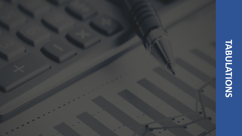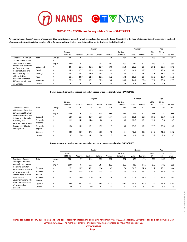

#### **2022-2167 – CTV/Nanos Survey – May Omni – STAT SHEET**

**As you may know, Canada's system of government is a constitutional monarchy which means Canada's monarch, Queen Elizabeth II, is the head of state and the prime minister is the head of government. Also, Canada is a member of the Commonwealth which is an association of former territories of the British Empire.**

|                                                |           |            |                   |          |        | Region  |          |                            |      | Gender |             | Age                    |         |
|------------------------------------------------|-----------|------------|-------------------|----------|--------|---------|----------|----------------------------|------|--------|-------------|------------------------|---------|
|                                                |           |            | Canada<br>2022-05 | Atlantic | Quebec | Ontario | Prairies | <b>British</b><br>Columbia | Male | Female | 18 to<br>34 | 35 <sub>to</sub><br>54 | 55 plus |
| Question - Would you<br>say that now is a very | Total     | Unwgt<br>Ν | 1001              | 97       | 216    | 332     | 206      | 150                        | 528  | 473    | 268         | 392                    | 341     |
| good, good, average,                           |           | Wgt N      | 1000              | 67       | 233    | 384     | 183      | 133                        | 489  | 511    | 273         | 341                    | 386     |
| poor or very poor time<br>for Canada to open   | Very good | %          | 24.4              | 18.1     | 35.2   | 21.7    | 20.6     | 21.6                       | 29.6 | 19.4   | 28.1        | 26.6                   | 19.8    |
| the constitution and                           | Good      | %          | 14.9              | 10.7     | 19.3   | 13.6    | 14.9     | 13.5                       | 14.1 | 15.7   | 15.0        | 13.9                   | 15.8    |
| discuss cutting ties                           | Average   | %          | 14.4              | 14.3     | 15.0   | 13.5    | 14.3     | 16.3                       | 12.0 | 16.8   | 18.8        | 13.2                   | 12.4    |
| with the British                               | Poor      | %          | 18.2              | 24.0     | 11.6   | 21.2    | 21.2     | 13.8                       | 16.9 | 19.4   | 12.2        | 18.9                   | 21.8    |
| monarchy to chart a<br>different path forward  | Very poor | %          | 23.3              | 25.1     | 15.2   | 25.3    | 24.0     | 30.2                       | 24.1 | 22.6   | 17.4        | 23.5                   | 27.5    |
| for Canada?                                    | Unsure    | %          | 4.7               | 7.7      | 3.7    | 4.7     | 5.0      | 4.6                        | 3.3  | 6.0    | 8.5         | 4.0                    | 2.7     |

**Do you support, somewhat support, somewhat oppose or oppose the following: [RANDOMIZE]**

|                                                 |                     |            |         |          |        | Region  |          |                |      | Gender |                  | Age   |         |
|-------------------------------------------------|---------------------|------------|---------|----------|--------|---------|----------|----------------|------|--------|------------------|-------|---------|
|                                                 |                     |            | Canada  |          |        |         |          | <b>British</b> |      |        | 18 <sub>to</sub> | 35 to |         |
|                                                 |                     |            | 2022-05 | Atlantic | Quebec | Ontario | Prairies | Columbia       | Male | Female | 34               | 54    | 55 plus |
| Question - Canada<br>withdrawing from the       | Total               | Unwgt<br>N | 1001    | 97       | 216    | 332     | 206      | 150            | 528  | 473    | 268              | 392   | 341     |
| Commonwealth which                              |                     | Wgt N      | 1000    | 67       | 233    | 384     | 183      | 133            | 489  | 511    | 273              | 341   | 386     |
| includes countries like<br>Antigua and Barbuda, | Support             | $\%$       | 18.0    | 11.1     | 26.7   | 15.6    | 16.4     | 15.7           | 19.3 | 16.8   | 18.9             | 20.9  | 15.0    |
| Australia, The<br>Bahamas, Belize, New          | Somewhat<br>support | %          | 11.5    | 14.3     | 14.4   | 9.8     | 11.4     | 10.2           | 10.0 | 12.9   | 13.4             | 8.0   | 13.3    |
| Zealand, Saint Lucia,<br>among others           | Somewhat<br>oppose  | %          | 16.8    | 19.5     | 17.1   | 17.5    | 12.9     | 18.2           | 15.6 | 17.9   | 17.5             | 20.5  | 13.0    |
|                                                 | Oppose              | %          | 43.9    | 48.0     | 27.2   | 50.8    | 47.6     | 46.4           | 48.9 | 39.2   | 34.3             | 41.2  | 53.2    |
|                                                 | Unsure              | %          | 9.7     | 7.0      | 14.5   | 6.4     | 11.7     | 9.6            | 6.1  | 13.2   | 15.9             | 9.5   | 5.5     |

**Do you support, somewhat support, somewhat oppose or oppose the following: [RANDOMIZE]**

|                                            |                     |       |         |          |        | Region  |          |                |      | Gender |                  | Age              |      |
|--------------------------------------------|---------------------|-------|---------|----------|--------|---------|----------|----------------|------|--------|------------------|------------------|------|
|                                            |                     |       | Canada  |          |        |         |          | <b>British</b> |      |        | 18 <sub>to</sub> | 35 <sub>to</sub> | 55   |
|                                            |                     |       | 2022-05 | Atlantic | Quebec | Ontario | Prairies | Columbia       | Male | Female | 34               | 54               | plus |
| Question - Canada                          | Total               | Unwgt | 1001    | 97       | 216    | 332     | 206      | 150            | 528  | 473    | 268              | 392              | 341  |
| cutting ties with the                      |                     | N     |         |          |        |         |          |                |      |        |                  |                  |      |
| monarchy and having                        |                     | Wgt N | 1000    | 67       | 233    | 384     | 183      | 133            | 489  | 511    | 273              | 341              | 386  |
| the prime minister<br>become both the head | Support             | %     | 27.5    | 19.7     | 48.9   | 22.4    | 20.9     | 17.8           | 30.5 | 24.6   | 31.2             | 28.2             | 24.4 |
| of the government<br>and the head of state | Somewhat<br>support | %     | 15.4    | 20.9     | 20.0   | 11.8    | 13.1     | 17.8           | 13.9 | 16.7   | 17.6             | 15.8             | 13.4 |
| replacing the<br>Governor General who      | Somewhat<br>oppose  | %     | 12.7    | 15.0     | 10.0   | 13.3    | 14.8     | 11.8           | 11.9 | 13.5   | 17.0             | 12.4             | 10.0 |
| is the representative<br>of the Canadian   | Oppose              | %     | 38.4    | 39.2     | 16.2   | 44.8    | 47.1     | 46.5           | 40.4 | 36.5   | 23.5             | 38.0             | 49.3 |
| monarch                                    | Unsure              | %     | 6.0     | 5.2      | 5.0    | 7.7     | 4.0      | 6.1            | 3.2  | 8.7    | 10.7             | 5.7              | 2.9  |

Nanos conducted an RDD dual frame (land- and cell- lines) hybrid telephone and online random survey of 1,001 Canadians, 18 years of age or older, between May 26<sup>th</sup> and 30<sup>th</sup>, 2022. The margin of error for this survey is ±3.1 percentage points, 19 times out of 20.

**www.nanos.co**